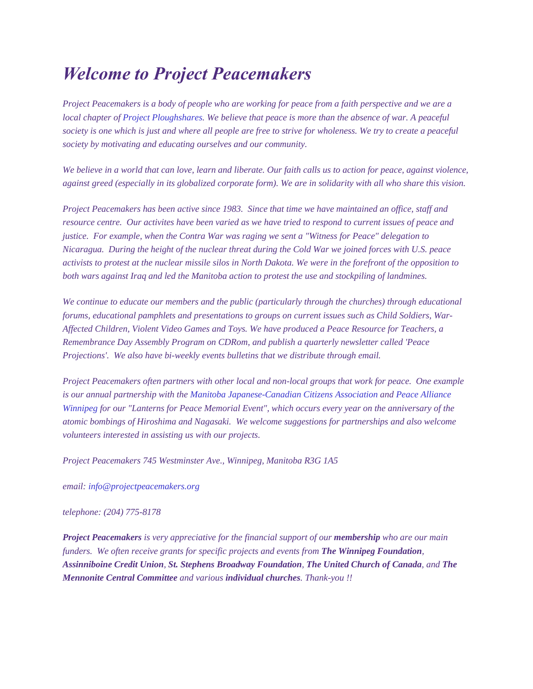## *Welcome to Project Peacemakers*

*Project Peacemakers is a body of people who are working for peace from a faith perspective and we are a local chapter of [Project Ploughshares.](http://www.ploughshares.ca/) We believe that peace is more than the absence of war. A peaceful society is one which is just and where all people are free to strive for wholeness. We try to create a peaceful society by motivating and educating ourselves and our community.*

*We believe in a world that can love, learn and liberate. Our faith calls us to action for peace, against violence, against greed (especially in its globalized corporate form). We are in solidarity with all who share this vision.*

*Project Peacemakers has been active since 1983. Since that time we have maintained an office, staff and resource centre. Our activites have been varied as we have tried to respond to current issues of peace and justice. For example, when the Contra War was raging we sent a "Witness for Peace" delegation to Nicaragua. During the height of the nuclear threat during the Cold War we joined forces with U.S. peace activists to protest at the nuclear missile silos in North Dakota. We were in the forefront of the opposition to both wars against Iraq and led the Manitoba action to protest the use and stockpiling of landmines.*

*We continue to educate our members and the public (particularly through the churches) through educational forums, educational pamphlets and presentations to groups on current issues such as Child Soldiers, War-Affected Children, Violent Video Games and Toys. We have produced a Peace Resource for Teachers, a Remembrance Day Assembly Program on CDRom, and publish a quarterly newsletter called 'Peace Projections'. We also have bi-weekly events bulletins that we distribute through email.*

*Project Peacemakers often partners with other local and non-local groups that work for peace. One example is our annual partnership with the [Manitoba Japanese-Canadian Citizens Association](http://www.mjccc.org/index.htm) and [Peace Alliance](http://www.peacealliancewinnipeg.ca/)  [Winnipeg](http://www.peacealliancewinnipeg.ca/) for our "Lanterns for Peace Memorial Event", which occurs every year on the anniversary of the atomic bombings of Hiroshima and Nagasaki. We welcome suggestions for partnerships and also welcome volunteers interested in assisting us with our projects.*

*Project Peacemakers 745 Westminster Ave., Winnipeg, Manitoba R3G 1A5*

*email: [info@projectpeacemakers.org](mailto:info@projectpeacemakers.org)*

*telephone: (204) 775-8178*

*Project Peacemakers is very appreciative for the financial support of our membership who are our main funders. We often receive grants for specific projects and events from The Winnipeg Foundation, Assinniboine Credit Union, St. Stephens Broadway Foundation, The United Church of Canada, and The Mennonite Central Committee and various individual churches. Thank-you !!*